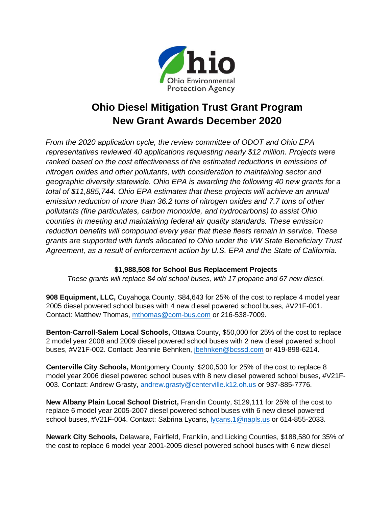

# **Ohio Diesel Mitigation Trust Grant Program New Grant Awards December 2020**

*From the 2020 application cycle, the review committee of ODOT and Ohio EPA representatives reviewed 40 applications requesting nearly \$12 million. Projects were ranked based on the cost effectiveness of the estimated reductions in emissions of nitrogen oxides and other pollutants, with consideration to maintaining sector and geographic diversity statewide. Ohio EPA is awarding the following 40 new grants for a total of \$11,885,744. Ohio EPA estimates that these projects will achieve an annual emission reduction of more than 36.2 tons of nitrogen oxides and 7.7 tons of other pollutants (fine particulates, carbon monoxide, and hydrocarbons) to assist Ohio counties in meeting and maintaining federal air quality standards. These emission reduction benefits will compound every year that these fleets remain in service. These grants are supported with funds allocated to Ohio under the VW State Beneficiary Trust Agreement, as a result of enforcement action by U.S. EPA and the State of California.*

### **\$1,988,508 for School Bus Replacement Projects**

*These grants will replace 84 old school buses, with 17 propane and 67 new diesel.*

**908 Equipment, LLC,** Cuyahoga County, \$84,643 for 25% of the cost to replace 4 model year 2005 diesel powered school buses with 4 new diesel powered school buses, #V21F-001. Contact: Matthew Thomas, [mthomas@com-bus.com](mailto:mthomas@com-bus.com) or 216-538-7009.

**Benton-Carroll-Salem Local Schools,** Ottawa County, \$50,000 for 25% of the cost to replace 2 model year 2008 and 2009 diesel powered school buses with 2 new diesel powered school buses, #V21F-002. Contact: Jeannie Behnken, [jbehnken@bcssd.com](mailto:jbehnken@bcssd.com) or 419-898-6214.

**Centerville City Schools,** Montgomery County, \$200,500 for 25% of the cost to replace 8 model year 2006 diesel powered school buses with 8 new diesel powered school buses, #V21F-003. Contact: Andrew Grasty, [andrew.grasty@centerville.k12.oh.us](mailto:andrew.grasty@centerville.k12.oh.us) or 937-885-7776.

**New Albany Plain Local School District,** Franklin County, \$129,111 for 25% of the cost to replace 6 model year 2005-2007 diesel powered school buses with 6 new diesel powered school buses, #V21F-004. Contact: Sabrina Lycans, [lycans.1@napls.us](mailto:lycans.1@napls.us) or 614-855-2033.

**Newark City Schools,** Delaware, Fairfield, Franklin, and Licking Counties, \$188,580 for 35% of the cost to replace 6 model year 2001-2005 diesel powered school buses with 6 new diesel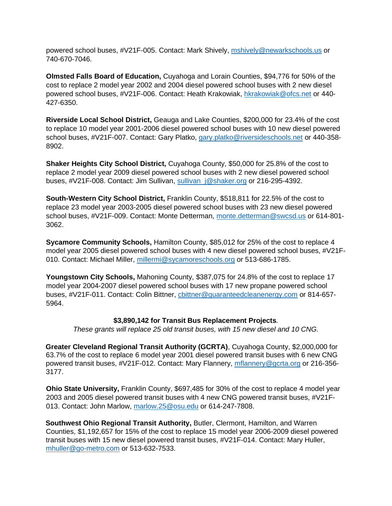powered school buses, #V21F-005. Contact: Mark Shively, [mshively@newarkschools.us](mailto:mshively@newarkschools.us) or 740-670-7046.

**Olmsted Falls Board of Education,** Cuyahoga and Lorain Counties, \$94,776 for 50% of the cost to replace 2 model year 2002 and 2004 diesel powered school buses with 2 new diesel powered school buses, #V21F-006. Contact: Heath Krakowiak, [hkrakowiak@ofcs.net](mailto:hkrakowiak@ofcs.net) or 440- 427-6350.

**Riverside Local School District,** Geauga and Lake Counties, \$200,000 for 23.4% of the cost to replace 10 model year 2001-2006 diesel powered school buses with 10 new diesel powered school buses, #V21F-007. Contact: Gary Platko, [gary.platko@riversideschools.net](mailto:gary.platko@riversideschools.net) or 440-358- 8902.

**Shaker Heights City School District,** Cuyahoga County, \$50,000 for 25.8% of the cost to replace 2 model year 2009 diesel powered school buses with 2 new diesel powered school buses, #V21F-008. Contact: Jim Sullivan, sullivan j@shaker.org or 216-295-4392.

**South-Western City School District,** Franklin County, \$518,811 for 22.5% of the cost to replace 23 model year 2003-2005 diesel powered school buses with 23 new diesel powered school buses, #V21F-009. Contact: Monte Detterman, [monte.detterman@swcsd.us](mailto:monte.detterman@swcsd.us) or 614-801- 3062.

**Sycamore Community Schools,** Hamilton County, \$85,012 for 25% of the cost to replace 4 model year 2005 diesel powered school buses with 4 new diesel powered school buses, #V21F-010. Contact: Michael Miller, [millermi@sycamoreschools.org](mailto:millermi@sycamoreschools.org) or 513-686-1785.

**Youngstown City Schools,** Mahoning County, \$387,075 for 24.8% of the cost to replace 17 model year 2004-2007 diesel powered school buses with 17 new propane powered school buses, #V21F-011. Contact: Colin Bittner, [cbittner@guaranteedcleanenergy.com](mailto:cbittner@guaranteedcleanenergy.com) or 814-657- 5964.

#### **\$3,890,142 for Transit Bus Replacement Projects***.*

*These grants will replace 25 old transit buses, with 15 new diesel and 10 CNG.*

**Greater Cleveland Regional Transit Authority (GCRTA)**, Cuyahoga County, \$2,000,000 for 63.7% of the cost to replace 6 model year 2001 diesel powered transit buses with 6 new CNG powered transit buses, #V21F-012. Contact: Mary Flannery, [mflannery@gcrta.org](mailto:mflannery@gcrta.org) or 216-356- 3177.

**Ohio State University,** Franklin County, \$697,485 for 30% of the cost to replace 4 model year 2003 and 2005 diesel powered transit buses with 4 new CNG powered transit buses, #V21F-013. Contact: John Marlow, [marlow.25@osu.edu](mailto:marlow.25@osu.edu) or 614-247-7808.

**Southwest Ohio Regional Transit Authority,** Butler, Clermont, Hamilton, and Warren Counties, \$1,192,657 for 15% of the cost to replace 15 model year 2006-2009 diesel powered transit buses with 15 new diesel powered transit buses, #V21F-014. Contact: Mary Huller, [mhuller@go-metro.com](mailto:mhuller@go-metro.com) or 513-632-7533.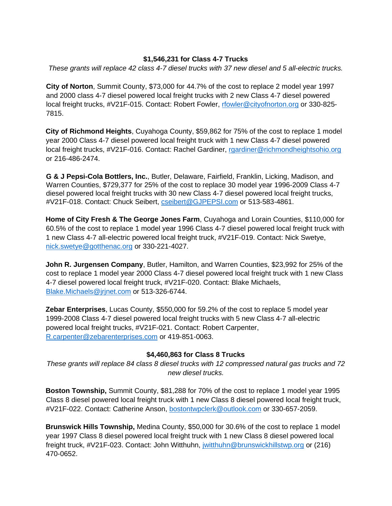## **\$1,546,231 for Class 4-7 Trucks**

*These grants will replace 42 class 4-7 diesel trucks with 37 new diesel and 5 all-electric trucks.*

**City of Norton**, Summit County, \$73,000 for 44.7% of the cost to replace 2 model year 1997 and 2000 class 4-7 diesel powered local freight trucks with 2 new Class 4-7 diesel powered local freight trucks, #V21F-015. Contact: Robert Fowler, [rfowler@cityofnorton.org](mailto:rfowler@cityofnorton.org) or 330-825-7815.

**City of Richmond Heights**, Cuyahoga County, \$59,862 for 75% of the cost to replace 1 model year 2000 Class 4-7 diesel powered local freight truck with 1 new Class 4-7 diesel powered local freight trucks, #V21F-016. Contact: Rachel Gardiner, [rgardiner@richmondheightsohio.org](mailto:rgardiner@richmondheightsohio.org) or 216-486-2474.

**G & J Pepsi-Cola Bottlers, Inc.**, Butler, Delaware, Fairfield, Franklin, Licking, Madison, and Warren Counties, \$729,377 for 25% of the cost to replace 30 model year 1996-2009 Class 4-7 diesel powered local freight trucks with 30 new Class 4-7 diesel powered local freight trucks, #V21F-018. Contact: Chuck Seibert, [cseibert@GJPEPSI.com](mailto:cseibert@GJPEPSI.com) or 513-583-4861.

**Home of City Fresh & The George Jones Farm**, Cuyahoga and Lorain Counties, \$110,000 for 60.5% of the cost to replace 1 model year 1996 Class 4-7 diesel powered local freight truck with 1 new Class 4-7 all-electric powered local freight truck, #V21F-019. Contact: Nick Swetye, [nick.swetye@gotthenac.org](mailto:nick.swetye@gotthenac.org) or 330-221-4027.

**John R. Jurgensen Company**, Butler, Hamilton, and Warren Counties, \$23,992 for 25% of the cost to replace 1 model year 2000 Class 4-7 diesel powered local freight truck with 1 new Class 4-7 diesel powered local freight truck, #V21F-020. Contact: Blake Michaels, [Blake.Michaels@jrjnet.com](mailto:Blake.Michaels@jrjnet.com) or 513-326-6744.

**Zebar Enterprises**, Lucas County, \$550,000 for 59.2% of the cost to replace 5 model year 1999-2008 Class 4-7 diesel powered local freight trucks with 5 new Class 4-7 all-electric powered local freight trucks, #V21F-021. Contact: Robert Carpenter, [R.carpenter@zebarenterprises.com](mailto:R.carpenter@zebarenterprises.com) or 419-851-0063.

#### **\$4,460,863 for Class 8 Trucks**

*These grants will replace 84 class 8 diesel trucks with 12 compressed natural gas trucks and 72 new diesel trucks.*

**Boston Township,** Summit County, \$81,288 for 70% of the cost to replace 1 model year 1995 Class 8 diesel powered local freight truck with 1 new Class 8 diesel powered local freight truck, #V21F-022. Contact: Catherine Anson, [bostontwpclerk@outlook.com](mailto:bostontwpclerk@outlook.com) or 330-657-2059.

**Brunswick Hills Township,** Medina County, \$50,000 for 30.6% of the cost to replace 1 model year 1997 Class 8 diesel powered local freight truck with 1 new Class 8 diesel powered local freight truck, #V21F-023. Contact: John Witthuhn, [jwitthuhn@brunswickhillstwp.org](mailto:jwitthuhn@brunswickhillstwp.org) or (216) 470-0652.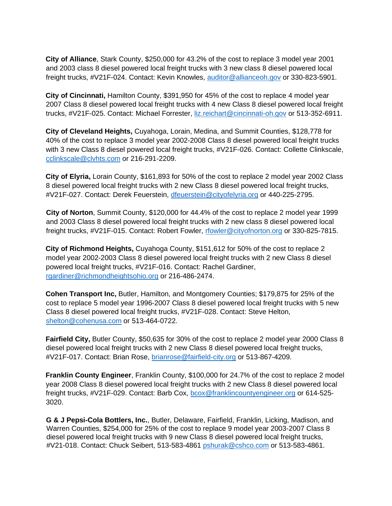**City of Alliance**, Stark County, \$250,000 for 43.2% of the cost to replace 3 model year 2001 and 2003 class 8 diesel powered local freight trucks with 3 new class 8 diesel powered local freight trucks, #V21F-024. Contact: Kevin Knowles, [auditor@allianceoh.gov](mailto:auditor@allianceoh.gov) or 330-823-5901.

**City of Cincinnati,** Hamilton County, \$391,950 for 45% of the cost to replace 4 model year 2007 Class 8 diesel powered local freight trucks with 4 new Class 8 diesel powered local freight trucks, #V21F-025. Contact: Michael Forrester, [liz.reichart@cincinnati-oh.gov](mailto:liz.reichart@cincinnati-oh.gov) or 513-352-6911.

**City of Cleveland Heights,** Cuyahoga, Lorain, Medina, and Summit Counties, \$128,778 for 40% of the cost to replace 3 model year 2002-2008 Class 8 diesel powered local freight trucks with 3 new Class 8 diesel powered local freight trucks, #V21F-026. Contact: Collette Clinkscale, [cclinkscale@clvhts.com](mailto:cclinkscale@clvhts.com) or 216-291-2209.

**City of Elyria,** Lorain County, \$161,893 for 50% of the cost to replace 2 model year 2002 Class 8 diesel powered local freight trucks with 2 new Class 8 diesel powered local freight trucks, #V21F-027. Contact: Derek Feuerstein, [dfeuerstein@cityofelyria.org](mailto:dfeuerstein@cityofelyria.org) or 440-225-2795.

**City of Norton**, Summit County, \$120,000 for 44.4% of the cost to replace 2 model year 1999 and 2003 Class 8 diesel powered local freight trucks with 2 new class 8 diesel powered local freight trucks, #V21F-015. Contact: Robert Fowler, [rfowler@cityofnorton.org](mailto:rfowler@cityofnorton.org) or 330-825-7815.

**City of Richmond Heights,** Cuyahoga County, \$151,612 for 50% of the cost to replace 2 model year 2002-2003 Class 8 diesel powered local freight trucks with 2 new Class 8 diesel powered local freight trucks, #V21F-016. Contact: Rachel Gardiner, [rgardiner@richmondheightsohio.org](mailto:rgardiner@richmondheightsohio.org) or 216-486-2474.

**Cohen Transport Inc,** Butler, Hamilton, and Montgomery Counties; \$179,875 for 25% of the cost to replace 5 model year 1996-2007 Class 8 diesel powered local freight trucks with 5 new Class 8 diesel powered local freight trucks, #V21F-028. Contact: Steve Helton, [shelton@cohenusa.com](mailto:shelton@cohenusa.com) or 513-464-0722.

**Fairfield City,** Butler County, \$50,635 for 30% of the cost to replace 2 model year 2000 Class 8 diesel powered local freight trucks with 2 new Class 8 diesel powered local freight trucks, #V21F-017. Contact: Brian Rose, [brianrose@fairfield-city.org](mailto:brianrose@fairfield-city.org) or 513-867-4209.

**Franklin County Engineer**, Franklin County, \$100,000 for 24.7% of the cost to replace 2 model year 2008 Class 8 diesel powered local freight trucks with 2 new Class 8 diesel powered local freight trucks, #V21F-029. Contact: Barb Cox, [bcox@franklincountyengineer.org](mailto:bcox@franklincountyengineer.org) or 614-525-3020.

**G & J Pepsi-Cola Bottlers, Inc.**, Butler, Delaware, Fairfield, Franklin, Licking, Madison, and Warren Counties, \$254,000 for 25% of the cost to replace 9 model year 2003-2007 Class 8 diesel powered local freight trucks with 9 new Class 8 diesel powered local freight trucks, #V21-018. Contact: Chuck Seibert, 513-583-4861 [pshurak@cshco.com](mailto:pshurak@cshco.com) or 513-583-4861.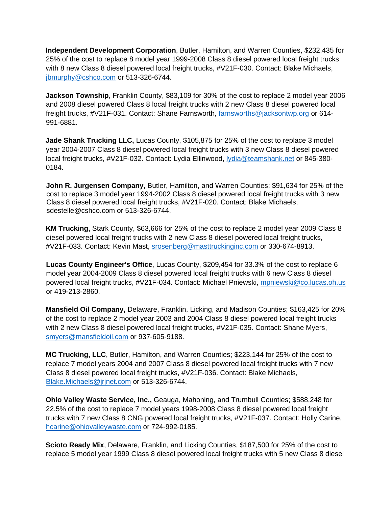**Independent Development Corporation**, Butler, Hamilton, and Warren Counties, \$232,435 for 25% of the cost to replace 8 model year 1999-2008 Class 8 diesel powered local freight trucks with 8 new Class 8 diesel powered local freight trucks, #V21F-030. Contact: Blake Michaels, [jbmurphy@cshco.com](mailto:jbmurphy@cshco.com) or 513-326-6744.

**Jackson Township**, Franklin County, \$83,109 for 30% of the cost to replace 2 model year 2006 and 2008 diesel powered Class 8 local freight trucks with 2 new Class 8 diesel powered local freight trucks, #V21F-031. Contact: Shane Farnsworth, [farnsworths@jacksontwp.org](mailto:farnsworths@jacksontwp.org) or 614- 991-6881.

**Jade Shank Trucking LLC,** Lucas County, \$105,875 for 25% of the cost to replace 3 model year 2004-2007 Class 8 diesel powered local freight trucks with 3 new Class 8 diesel powered local freight trucks, #V21F-032. Contact: Lydia Ellinwood, [lydia@teamshank.net](mailto:lydia@teamshank.net) or 845-380-0184.

**John R. Jurgensen Company,** Butler, Hamilton, and Warren Counties; \$91,634 for 25% of the cost to replace 3 model year 1994-2002 Class 8 diesel powered local freight trucks with 3 new Class 8 diesel powered local freight trucks, #V21F-020. Contact: Blake Michaels, sdestelle@cshco.com or 513-326-6744.

**KM Trucking,** Stark County, \$63,666 for 25% of the cost to replace 2 model year 2009 Class 8 diesel powered local freight trucks with 2 new Class 8 diesel powered local freight trucks, #V21F-033. Contact: Kevin Mast, [srosenberg@masttruckinginc.com](mailto:srosenberg@masttruckinginc.com) or 330-674-8913.

**Lucas County Engineer's Office**, Lucas County, \$209,454 for 33.3% of the cost to replace 6 model year 2004-2009 Class 8 diesel powered local freight trucks with 6 new Class 8 diesel powered local freight trucks, #V21F-034. Contact: Michael Pniewski, [mpniewski@co.lucas.oh.us](mailto:mpniewski@co.lucas.oh.us) or 419-213-2860.

**Mansfield Oil Company,** Delaware, Franklin, Licking, and Madison Counties; \$163,425 for 20% of the cost to replace 2 model year 2003 and 2004 Class 8 diesel powered local freight trucks with 2 new Class 8 diesel powered local freight trucks, #V21F-035. Contact: Shane Myers, [smyers@mansfieldoil.com](mailto:smyers@mansfieldoil.com) or 937-605-9188.

**MC Trucking, LLC**, Butler, Hamilton, and Warren Counties; \$223,144 for 25% of the cost to replace 7 model years 2004 and 2007 Class 8 diesel powered local freight trucks with 7 new Class 8 diesel powered local freight trucks, #V21F-036. Contact: Blake Michaels, [Blake.Michaels@jrjnet.com](mailto:Blake.Michaels@jrjnet.com) or 513-326-6744.

**Ohio Valley Waste Service, Inc.,** Geauga, Mahoning, and Trumbull Counties; \$588,248 for 22.5% of the cost to replace 7 model years 1998-2008 Class 8 diesel powered local freight trucks with 7 new Class 8 CNG powered local freight trucks, #V21F-037. Contact: Holly Carine, [hcarine@ohiovalleywaste.com](mailto:hcarine@ohiovalleywaste.com) or 724-992-0185.

**Scioto Ready Mix**, Delaware, Franklin, and Licking Counties, \$187,500 for 25% of the cost to replace 5 model year 1999 Class 8 diesel powered local freight trucks with 5 new Class 8 diesel